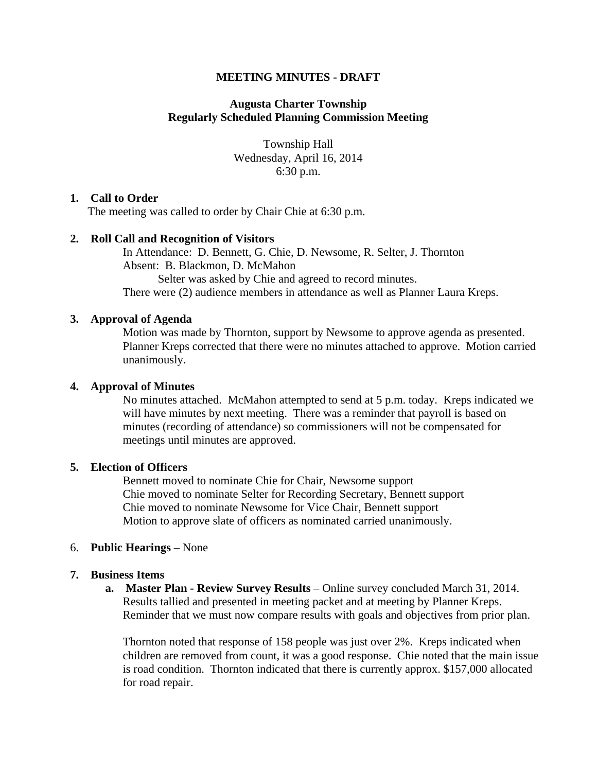# **MEETING MINUTES - DRAFT**

# **Augusta Charter Township Regularly Scheduled Planning Commission Meeting**

Township Hall Wednesday, April 16, 2014 6:30 p.m.

## **1. Call to Order**

The meeting was called to order by Chair Chie at 6:30 p.m.

# **2. Roll Call and Recognition of Visitors**

In Attendance: D. Bennett, G. Chie, D. Newsome, R. Selter, J. Thornton Absent: B. Blackmon, D. McMahon Selter was asked by Chie and agreed to record minutes. There were (2) audience members in attendance as well as Planner Laura Kreps.

## **3. Approval of Agenda**

Motion was made by Thornton, support by Newsome to approve agenda as presented. Planner Kreps corrected that there were no minutes attached to approve. Motion carried unanimously.

# **4. Approval of Minutes**

No minutes attached. McMahon attempted to send at 5 p.m. today. Kreps indicated we will have minutes by next meeting. There was a reminder that payroll is based on minutes (recording of attendance) so commissioners will not be compensated for meetings until minutes are approved.

# **5. Election of Officers**

Bennett moved to nominate Chie for Chair, Newsome support Chie moved to nominate Selter for Recording Secretary, Bennett support Chie moved to nominate Newsome for Vice Chair, Bennett support Motion to approve slate of officers as nominated carried unanimously.

## 6. **Public Hearings** – None

## **7. Business Items**

**a. Master Plan - Review Survey Results** – Online survey concluded March 31, 2014. Results tallied and presented in meeting packet and at meeting by Planner Kreps. Reminder that we must now compare results with goals and objectives from prior plan.

Thornton noted that response of 158 people was just over 2%. Kreps indicated when children are removed from count, it was a good response. Chie noted that the main issue is road condition. Thornton indicated that there is currently approx. \$157,000 allocated for road repair.